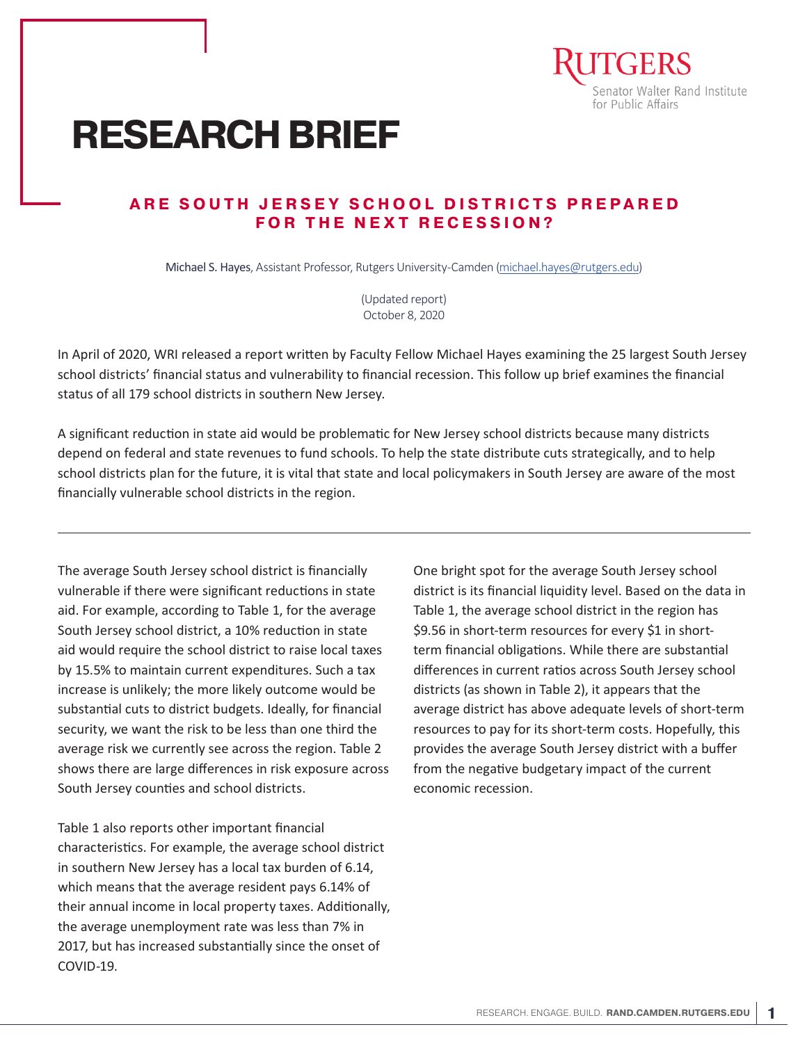

# **RESEARCH BRIEF**

## **ARE SOUTH JERSEY SCHOOL DISTRICTS PREPARED FOR THE NEXT RECESSION?**

Michael S. Hayes, Assistant Professor, Rutgers University-Camden (michael.hayes@rutgers.edu)

(Updated report) October 8, 2020

In April of 2020, WRI released a report written by Faculty Fellow Michael Hayes examining the 25 largest South Jersey school districts' financial status and vulnerability to financial recession. This follow up brief examines the financial status of all 179 school districts in southern New Jersey.

A significant reduction in state aid would be problematic for New Jersey school districts because many districts depend on federal and state revenues to fund schools. To help the state distribute cuts strategically, and to help school districts plan for the future, it is vital that state and local policymakers in South Jersey are aware of the most financially vulnerable school districts in the region.

The average South Jersey school district is financially vulnerable if there were significant reductions in state aid. For example, according to Table 1, for the average South Jersey school district, a 10% reduction in state aid would require the school district to raise local taxes by 15.5% to maintain current expenditures. Such a tax increase is unlikely; the more likely outcome would be substantial cuts to district budgets. Ideally, for financial security, we want the risk to be less than one third the average risk we currently see across the region. Table 2 shows there are large differences in risk exposure across South Jersey counties and school districts.

Table 1 also reports other important financial characteristics. For example, the average school district in southern New Jersey has a local tax burden of 6.14, which means that the average resident pays 6.14% of their annual income in local property taxes. Additionally, the average unemployment rate was less than 7% in 2017, but has increased substantially since the onset of COVID-19.

One bright spot for the average South Jersey school district is its financial liquidity level. Based on the data in Table 1, the average school district in the region has \$9.56 in short-term resources for every \$1 in shortterm financial obligations. While there are substantial differences in current ratios across South Jersey school districts (as shown in Table 2), it appears that the average district has above adequate levels of short-term resources to pay for its short-term costs. Hopefully, this provides the average South Jersey district with a buffer from the negative budgetary impact of the current economic recession.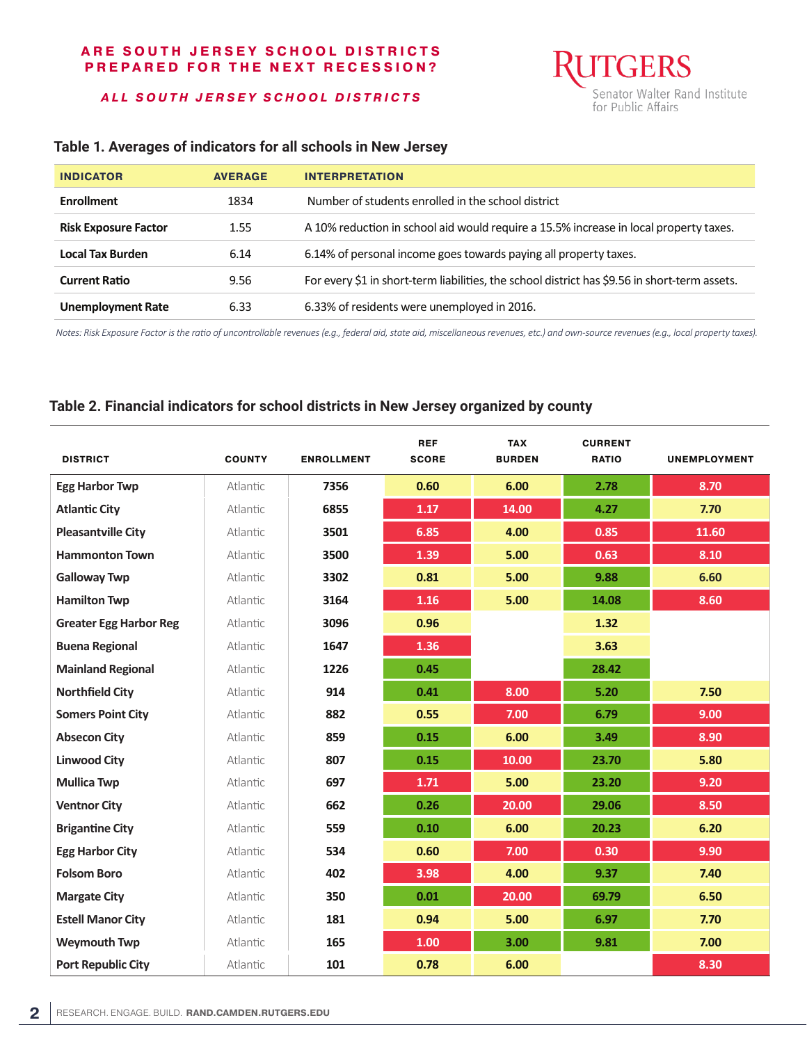*ALL SOUTH JERSEY SCHOOL DISTRICTS*



## **Table 1. Averages of indicators for all schools in New Jersey**

| <b>INDICATOR</b>            | <b>AVERAGE</b> | <b>INTERPRETATION</b>                                                                         |
|-----------------------------|----------------|-----------------------------------------------------------------------------------------------|
| <b>Enrollment</b>           | 1834           | Number of students enrolled in the school district                                            |
| <b>Risk Exposure Factor</b> | 1.55           | A 10% reduction in school aid would require a 15.5% increase in local property taxes.         |
| <b>Local Tax Burden</b>     | 6.14           | 6.14% of personal income goes towards paying all property taxes.                              |
| <b>Current Ratio</b>        | 9.56           | For every \$1 in short-term liabilities, the school district has \$9.56 in short-term assets. |
| <b>Unemployment Rate</b>    | 6.33           | 6.33% of residents were unemployed in 2016.                                                   |

*Notes: Risk Exposure Factor is the ratio of uncontrollable revenues (e.g., federal aid, state aid, miscellaneous revenues, etc.) and own-source revenues (e.g., local property taxes).* 

### **Table 2. Financial indicators for school districts in New Jersey organized by county**

| <b>DISTRICT</b>               | <b>COUNTY</b> | <b>ENROLLMENT</b> | <b>REF</b><br><b>SCORE</b> | <b>TAX</b><br><b>BURDEN</b> | <b>CURRENT</b><br><b>RATIO</b> | <b>UNEMPLOYMENT</b> |
|-------------------------------|---------------|-------------------|----------------------------|-----------------------------|--------------------------------|---------------------|
| <b>Egg Harbor Twp</b>         | Atlantic      | 7356              | 0.60                       | 6.00                        | 2.78                           | 8.70                |
| <b>Atlantic City</b>          | Atlantic      | 6855              | 1.17                       | 14.00                       | 4.27                           | 7.70                |
| <b>Pleasantville City</b>     | Atlantic      | 3501              | 6.85                       | 4.00                        | 0.85                           | 11.60               |
| <b>Hammonton Town</b>         | Atlantic      | 3500              | 1.39                       | 5.00                        | 0.63                           | 8.10                |
| <b>Galloway Twp</b>           | Atlantic      | 3302              | 0.81                       | 5.00                        | 9.88                           | 6.60                |
| <b>Hamilton Twp</b>           | Atlantic      | 3164              | 1.16                       | 5.00                        | 14.08                          | 8.60                |
| <b>Greater Egg Harbor Reg</b> | Atlantic      | 3096              | 0.96                       |                             | 1.32                           |                     |
| <b>Buena Regional</b>         | Atlantic      | 1647              | 1.36                       |                             | 3.63                           |                     |
| <b>Mainland Regional</b>      | Atlantic      | 1226              | 0.45                       |                             | 28.42                          |                     |
| <b>Northfield City</b>        | Atlantic      | 914               | 0.41                       | 8.00                        | 5.20                           | 7.50                |
| <b>Somers Point City</b>      | Atlantic      | 882               | 0.55                       | 7.00                        | 6.79                           | 9.00                |
| <b>Absecon City</b>           | Atlantic      | 859               | 0.15                       | 6.00                        | 3.49                           | 8.90                |
| <b>Linwood City</b>           | Atlantic      | 807               | 0.15                       | 10.00                       | 23.70                          | 5.80                |
| <b>Mullica Twp</b>            | Atlantic      | 697               | 1.71                       | 5.00                        | 23.20                          | 9.20                |
| <b>Ventnor City</b>           | Atlantic      | 662               | 0.26                       | 20.00                       | 29.06                          | 8.50                |
| <b>Brigantine City</b>        | Atlantic      | 559               | 0.10                       | 6.00                        | 20.23                          | 6.20                |
| <b>Egg Harbor City</b>        | Atlantic      | 534               | 0.60                       | 7.00                        | 0.30                           | 9.90                |
| <b>Folsom Boro</b>            | Atlantic      | 402               | 3.98                       | 4.00                        | 9.37                           | 7.40                |
| <b>Margate City</b>           | Atlantic      | 350               | 0.01                       | 20.00                       | 69.79                          | 6.50                |
| <b>Estell Manor City</b>      | Atlantic      | 181               | 0.94                       | 5.00                        | 6.97                           | 7.70                |
| <b>Weymouth Twp</b>           | Atlantic      | 165               | 1.00                       | 3.00                        | 9.81                           | 7.00                |
| <b>Port Republic City</b>     | Atlantic      | 101               | 0.78                       | 6.00                        |                                | 8.30                |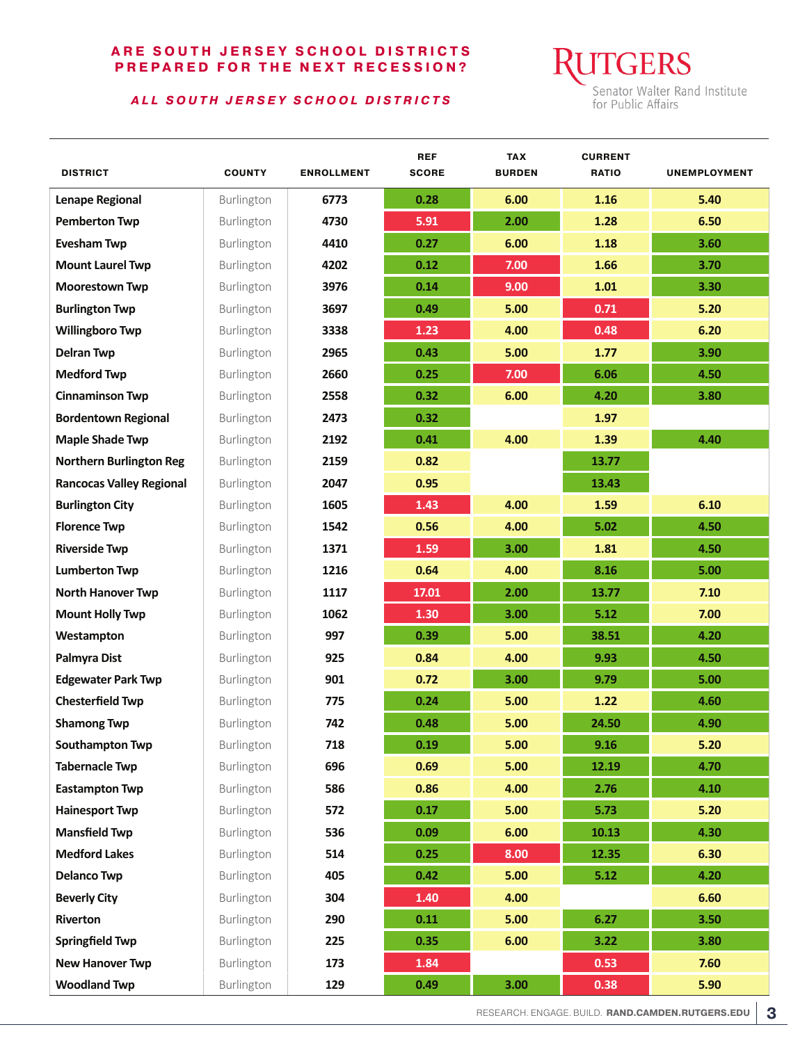#### *ALL SOUTH JERSEY SCHOOL DISTRICTS*

**GERS** Senator Walter Rand Institute for Public Affairs

| <b>DISTRICT</b>                 | <b>COUNTY</b> | <b>ENROLLMENT</b> | <b>REF</b><br><b>SCORE</b> | <b>TAX</b><br><b>BURDEN</b> | <b>CURRENT</b><br><b>RATIO</b> | <b>UNEMPLOYMENT</b> |
|---------------------------------|---------------|-------------------|----------------------------|-----------------------------|--------------------------------|---------------------|
| <b>Lenape Regional</b>          | Burlington    | 6773              | 0.28                       | 6.00                        | 1.16                           | 5.40                |
| <b>Pemberton Twp</b>            | Burlington    | 4730              | 5.91                       | 2.00                        | 1.28                           | 6.50                |
| <b>Evesham Twp</b>              | Burlington    | 4410              | 0.27                       | 6.00                        | 1.18                           | 3.60                |
| <b>Mount Laurel Twp</b>         | Burlington    | 4202              | 0.12                       | 7.00                        | 1.66                           | 3.70                |
| <b>Moorestown Twp</b>           | Burlington    | 3976              | 0.14                       | 9.00                        | 1.01                           | 3.30                |
| <b>Burlington Twp</b>           | Burlington    | 3697              | 0.49                       | 5.00                        | 0.71                           | 5.20                |
| <b>Willingboro Twp</b>          | Burlington    | 3338              | 1.23                       | 4.00                        | 0.48                           | 6.20                |
| <b>Delran Twp</b>               | Burlington    | 2965              | 0.43                       | 5.00                        | 1.77                           | 3.90                |
| <b>Medford Twp</b>              | Burlington    | 2660              | 0.25                       | 7.00                        | 6.06                           | 4.50                |
| <b>Cinnaminson Twp</b>          | Burlington    | 2558              | 0.32                       | 6.00                        | 4.20                           | 3.80                |
| <b>Bordentown Regional</b>      | Burlington    | 2473              | 0.32                       |                             | 1.97                           |                     |
| <b>Maple Shade Twp</b>          | Burlington    | 2192              | 0.41                       | 4.00                        | 1.39                           | 4.40                |
| <b>Northern Burlington Reg</b>  | Burlington    | 2159              | 0.82                       |                             | 13.77                          |                     |
| <b>Rancocas Valley Regional</b> | Burlington    | 2047              | 0.95                       |                             | 13.43                          |                     |
| <b>Burlington City</b>          | Burlington    | 1605              | 1.43                       | 4.00                        | 1.59                           | 6.10                |
| <b>Florence Twp</b>             | Burlington    | 1542              | 0.56                       | 4.00                        | 5.02                           | 4.50                |
| <b>Riverside Twp</b>            | Burlington    | 1371              | 1.59                       | 3.00                        | 1.81                           | 4.50                |
| <b>Lumberton Twp</b>            | Burlington    | 1216              | 0.64                       | 4.00                        | 8.16                           | 5.00                |
| <b>North Hanover Twp</b>        | Burlington    | 1117              | 17.01                      | 2.00                        | 13.77                          | 7.10                |
| <b>Mount Holly Twp</b>          | Burlington    | 1062              | 1.30                       | 3.00                        | 5.12                           | 7.00                |
| Westampton                      | Burlington    | 997               | 0.39                       | 5.00                        | 38.51                          | 4.20                |
| Palmyra Dist                    | Burlington    | 925               | 0.84                       | 4.00                        | 9.93                           | 4.50                |
| <b>Edgewater Park Twp</b>       | Burlington    | 901               | 0.72                       | 3.00                        | 9.79                           | 5.00                |
| <b>Chesterfield Twp</b>         | Burlington    | 775               | 0.24                       | 5.00                        | 1.22                           | 4.60                |
| <b>Shamong Twp</b>              | Burlington    | 742               | 0.48                       | 5.00                        | 24.50                          | 4.90                |
| <b>Southampton Twp</b>          | Burlington    | 718               | 0.19                       | 5.00                        | 9.16                           | 5.20                |
| <b>Tabernacle Twp</b>           | Burlington    | 696               | 0.69                       | 5.00                        | 12.19                          | 4.70                |
| <b>Eastampton Twp</b>           | Burlington    | 586               | 0.86                       | 4.00                        | 2.76                           | 4.10                |
| <b>Hainesport Twp</b>           | Burlington    | 572               | 0.17                       | 5.00                        | 5.73                           | $5.20$              |
| <b>Mansfield Twp</b>            | Burlington    | 536               | 0.09                       | 6.00                        | 10.13                          | 4.30                |
| <b>Medford Lakes</b>            | Burlington    | 514               | 0.25                       | 8.00                        | 12.35                          | 6.30                |
| <b>Delanco Twp</b>              | Burlington    | 405               | 0.42                       | 5.00                        | 5.12                           | 4.20                |
| <b>Beverly City</b>             | Burlington    | 304               | 1.40                       | 4.00                        |                                | 6.60                |
| Riverton                        | Burlington    | 290               | 0.11                       | $5.00$                      | 6.27                           | 3.50                |
| <b>Springfield Twp</b>          | Burlington    | 225               | 0.35                       | 6.00                        | 3.22                           | 3.80                |
| <b>New Hanover Twp</b>          | Burlington    | 173               | 1.84                       |                             | 0.53                           | 7.60                |
| <b>Woodland Twp</b>             | Burlington    | 129               | 0.49                       | 3.00                        | 0.38                           | 5.90                |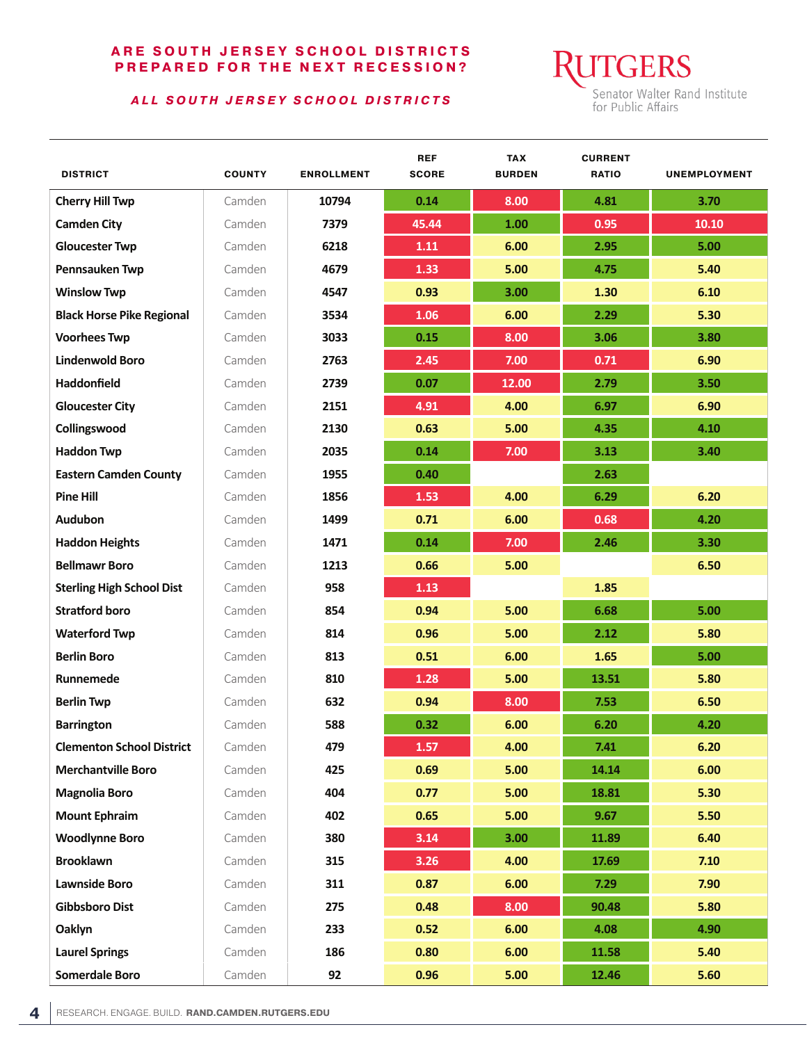#### *ALL SOUTH JERSEY SCHOOL DISTRICTS*

**UTGERS** Senator Walter Rand Institute<br>for Public Affairs

| <b>DISTRICT</b>                  | <b>COUNTY</b> | <b>ENROLLMENT</b> | <b>REF</b><br><b>SCORE</b> | <b>TAX</b><br><b>BURDEN</b> | <b>CURRENT</b><br><b>RATIO</b> | <b>UNEMPLOYMENT</b> |
|----------------------------------|---------------|-------------------|----------------------------|-----------------------------|--------------------------------|---------------------|
| <b>Cherry Hill Twp</b>           | Camden        | 10794             | 0.14                       | 8.00                        | 4.81                           | 3.70                |
| <b>Camden City</b>               | Camden        | 7379              | 45.44                      | 1.00                        | 0.95                           | 10.10               |
| <b>Gloucester Twp</b>            | Camden        | 6218              | 1.11                       | 6.00                        | 2.95                           | 5.00                |
| Pennsauken Twp                   | Camden        | 4679              | 1.33                       | 5.00                        | 4.75                           | 5.40                |
| <b>Winslow Twp</b>               | Camden        | 4547              | 0.93                       | 3.00                        | 1.30                           | 6.10                |
| <b>Black Horse Pike Regional</b> | Camden        | 3534              | 1.06                       | 6.00                        | 2.29                           | 5.30                |
| <b>Voorhees Twp</b>              | Camden        | 3033              | 0.15                       | 8.00                        | 3.06                           | 3.80                |
| <b>Lindenwold Boro</b>           | Camden        | 2763              | 2.45                       | 7.00                        | 0.71                           | 6.90                |
| <b>Haddonfield</b>               | Camden        | 2739              | 0.07                       | 12.00                       | 2.79                           | 3.50                |
| <b>Gloucester City</b>           | Camden        | 2151              | 4.91                       | 4.00                        | 6.97                           | 6.90                |
| Collingswood                     | Camden        | 2130              | 0.63                       | 5.00                        | 4.35                           | 4.10                |
| <b>Haddon Twp</b>                | Camden        | 2035              | 0.14                       | 7.00                        | 3.13                           | 3.40                |
| <b>Eastern Camden County</b>     | Camden        | 1955              | 0.40                       |                             | 2.63                           |                     |
| <b>Pine Hill</b>                 | Camden        | 1856              | 1.53                       | 4.00                        | 6.29                           | 6.20                |
| <b>Audubon</b>                   | Camden        | 1499              | 0.71                       | 6.00                        | 0.68                           | 4.20                |
| <b>Haddon Heights</b>            | Camden        | 1471              | 0.14                       | 7.00                        | 2.46                           | 3.30                |
| <b>Bellmawr Boro</b>             | Camden        | 1213              | 0.66                       | 5.00                        |                                | 6.50                |
| <b>Sterling High School Dist</b> | Camden        | 958               | 1.13                       |                             | 1.85                           |                     |
| <b>Stratford boro</b>            | Camden        | 854               | 0.94                       | 5.00                        | 6.68                           | 5.00                |
| <b>Waterford Twp</b>             | Camden        | 814               | 0.96                       | 5.00                        | 2.12                           | 5.80                |
| <b>Berlin Boro</b>               | Camden        | 813               | 0.51                       | 6.00                        | 1.65                           | 5.00                |
| Runnemede                        | Camden        | 810               | 1.28                       | 5.00                        | 13.51                          | 5.80                |
| <b>Berlin Twp</b>                | Camden        | 632               | 0.94                       | 8.00                        | 7.53                           | 6.50                |
| <b>Barrington</b>                | Camden        | 588               | 0.32                       | 6.00                        | 6.20                           | 4.20                |
| <b>Clementon School District</b> | Camden        | 479               | 1.57                       | 4.00                        | 7.41                           | 6.20                |
| <b>Merchantville Boro</b>        | Camden        | 425               | 0.69                       | $5.00$                      | 14.14                          | 6.00                |
| <b>Magnolia Boro</b>             | Camden        | 404               | 0.77                       | $5.00$                      | 18.81                          | 5.30                |
| <b>Mount Ephraim</b>             | Camden        | 402               | 0.65                       | $5.00$                      | 9.67                           | 5.50                |
| <b>Woodlynne Boro</b>            | Camden        | 380               | 3.14                       | 3.00                        | 11.89                          | 6.40                |
| <b>Brooklawn</b>                 | Camden        | 315               | 3.26                       | 4.00                        | 17.69                          | 7.10                |
| <b>Lawnside Boro</b>             | Camden        | 311               | 0.87                       | 6.00                        | 7.29                           | 7.90                |
| <b>Gibbsboro Dist</b>            | Camden        | 275               | 0.48                       | 8.00                        | 90.48                          | 5.80                |
| Oaklyn                           | Camden        | 233               | 0.52                       | 6.00                        | 4.08                           | 4.90                |
| <b>Laurel Springs</b>            | Camden        | 186               | 0.80                       | 6.00                        | 11.58                          | 5.40                |
| <b>Somerdale Boro</b>            | Camden        | 92                | 0.96                       | $5.00$                      | 12.46                          | 5.60                |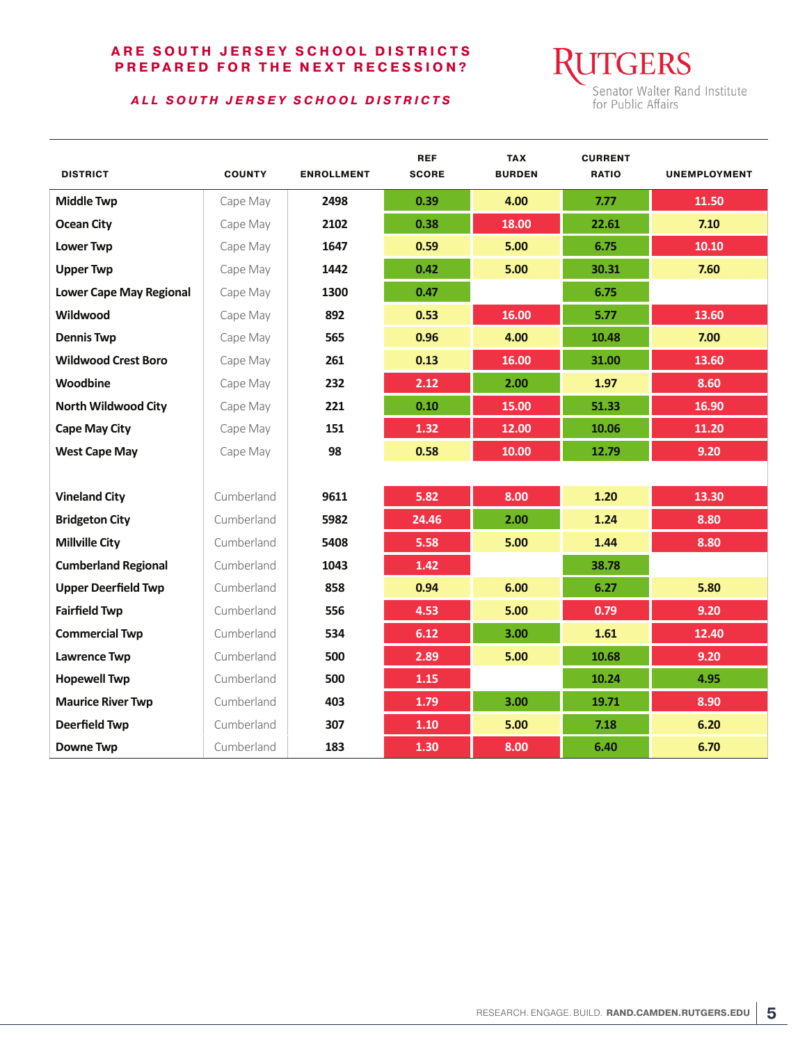#### *ALL SOUTH JERSEY SCHOOL DISTRICTS*

**GERS** Senator Walter Rand Institute for Public Affairs

| <b>DISTRICT</b>                | <b>COUNTY</b> | <b>ENROLLMENT</b> | <b>REF</b><br><b>SCORE</b> | <b>TAX</b><br><b>BURDEN</b> | <b>CURRENT</b><br><b>RATIO</b> | <b>UNEMPLOYMENT</b> |
|--------------------------------|---------------|-------------------|----------------------------|-----------------------------|--------------------------------|---------------------|
| <b>Middle Twp</b>              | Cape May      | 2498              | 0.39                       | 4.00                        | 7.77                           | 11.50               |
| <b>Ocean City</b>              | Cape May      | 2102              | 0.38                       | 18.00                       | 22.61                          | 7.10                |
| <b>Lower Twp</b>               | Cape May      | 1647              | 0.59                       | 5.00                        | 6.75                           | 10.10               |
| <b>Upper Twp</b>               | Cape May      | 1442              | 0.42                       | 5.00                        | 30.31                          | 7.60                |
| <b>Lower Cape May Regional</b> | Cape May      | 1300              | 0.47                       |                             | 6.75                           |                     |
| Wildwood                       | Cape May      | 892               | 0.53                       | 16.00                       | 5.77                           | 13.60               |
| <b>Dennis Twp</b>              | Cape May      | 565               | 0.96                       | 4.00                        | 10.48                          | 7.00                |
| <b>Wildwood Crest Boro</b>     | Cape May      | 261               | 0.13                       | 16.00                       | 31.00                          | 13.60               |
| Woodbine                       | Cape May      | 232               | 2.12                       | 2.00                        | 1.97                           | 8.60                |
| <b>North Wildwood City</b>     | Cape May      | 221               | 0.10                       | 15.00                       | 51.33                          | 16.90               |
| <b>Cape May City</b>           | Cape May      | 151               | 1.32                       | 12.00                       | 10.06                          | 11.20               |
| <b>West Cape May</b>           | Cape May      | 98                | 0.58                       | 10.00                       | 12.79                          | 9.20                |
|                                |               |                   |                            |                             |                                |                     |
| <b>Vineland City</b>           | Cumberland    | 9611              | 5.82                       | 8.00                        | 1.20                           | 13.30               |
| <b>Bridgeton City</b>          | Cumberland    | 5982              | 24.46                      | 2.00                        | 1.24                           | 8.80                |
| <b>Millville City</b>          | Cumberland    | 5408              | 5.58                       | 5.00                        | 1.44                           | 8.80                |
| <b>Cumberland Regional</b>     | Cumberland    | 1043              | 1.42                       |                             | 38.78                          |                     |
| <b>Upper Deerfield Twp</b>     | Cumberland    | 858               | 0.94                       | 6.00                        | 6.27                           | 5.80                |
| <b>Fairfield Twp</b>           | Cumberland    | 556               | 4.53                       | 5.00                        | 0.79                           | 9.20                |
| <b>Commercial Twp</b>          | Cumberland    | 534               | 6.12                       | 3.00                        | 1.61                           | 12.40               |
| <b>Lawrence Twp</b>            | Cumberland    | 500               | 2.89                       | 5.00                        | 10.68                          | 9.20                |
| <b>Hopewell Twp</b>            | Cumberland    | 500               | 1.15                       |                             | 10.24                          | 4.95                |
| <b>Maurice River Twp</b>       | Cumberland    | 403               | 1.79                       | 3.00                        | 19.71                          | 8.90                |
| <b>Deerfield Twp</b>           | Cumberland    | 307               | 1.10                       | 5.00                        | 7.18                           | 6.20                |
| <b>Downe Twp</b>               | Cumberland    | 183               | 1.30                       | 8.00                        | 6.40                           | 6.70                |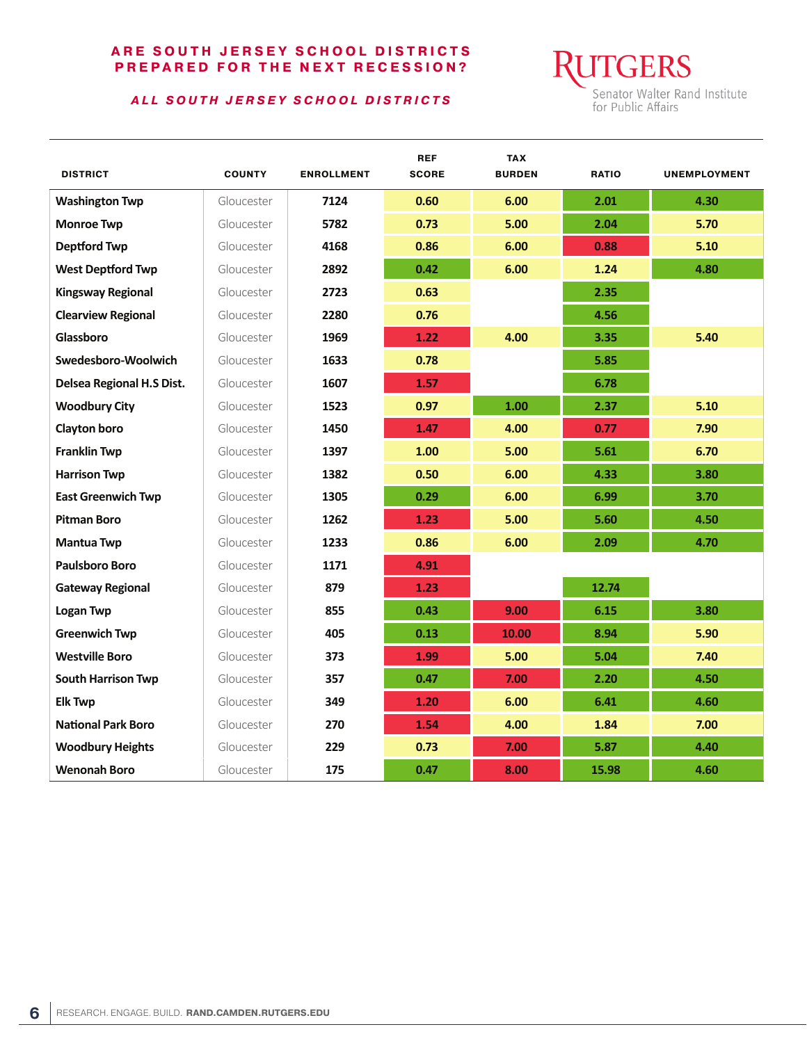#### *ALL SOUTH JERSEY SCHOOL DISTRICTS*

**RUTGERS** Senator Walter Rand Institute<br>for Public Affairs

| <b>DISTRICT</b>           | <b>COUNTY</b> | <b>ENROLLMENT</b> | <b>REF</b><br><b>SCORE</b> | <b>TAX</b><br><b>BURDEN</b> | <b>RATIO</b> | <b>UNEMPLOYMENT</b> |
|---------------------------|---------------|-------------------|----------------------------|-----------------------------|--------------|---------------------|
| <b>Washington Twp</b>     | Gloucester    | 7124              | 0.60                       | 6.00                        | 2.01         | 4.30                |
| <b>Monroe Twp</b>         | Gloucester    | 5782              | 0.73                       | 5.00                        | 2.04         | 5.70                |
| <b>Deptford Twp</b>       | Gloucester    | 4168              | 0.86                       | 6.00                        | 0.88         | 5.10                |
| <b>West Deptford Twp</b>  | Gloucester    | 2892              | 0.42                       | 6.00                        | 1.24         | 4.80                |
| <b>Kingsway Regional</b>  | Gloucester    | 2723              | 0.63                       |                             | 2.35         |                     |
| <b>Clearview Regional</b> | Gloucester    | 2280              | 0.76                       |                             | 4.56         |                     |
| Glassboro                 | Gloucester    | 1969              | 1.22                       | 4.00                        | 3.35         | 5.40                |
| Swedesboro-Woolwich       | Gloucester    | 1633              | 0.78                       |                             | 5.85         |                     |
| Delsea Regional H.S Dist. | Gloucester    | 1607              | 1.57                       |                             | 6.78         |                     |
| <b>Woodbury City</b>      | Gloucester    | 1523              | 0.97                       | 1.00                        | 2.37         | 5.10                |
| Clayton boro              | Gloucester    | 1450              | 1.47                       | 4.00                        | 0.77         | 7.90                |
| <b>Franklin Twp</b>       | Gloucester    | 1397              | 1.00                       | 5.00                        | 5.61         | 6.70                |
| <b>Harrison Twp</b>       | Gloucester    | 1382              | 0.50                       | 6.00                        | 4.33         | 3.80                |
| <b>East Greenwich Twp</b> | Gloucester    | 1305              | 0.29                       | 6.00                        | 6.99         | 3.70                |
| <b>Pitman Boro</b>        | Gloucester    | 1262              | 1.23                       | 5.00                        | 5.60         | 4.50                |
| <b>Mantua Twp</b>         | Gloucester    | 1233              | 0.86                       | 6.00                        | 2.09         | 4.70                |
| <b>Paulsboro Boro</b>     | Gloucester    | 1171              | 4.91                       |                             |              |                     |
| <b>Gateway Regional</b>   | Gloucester    | 879               | 1.23                       |                             | 12.74        |                     |
| Logan Twp                 | Gloucester    | 855               | 0.43                       | 9.00                        | 6.15         | 3.80                |
| <b>Greenwich Twp</b>      | Gloucester    | 405               | 0.13                       | 10.00                       | 8.94         | 5.90                |
| <b>Westville Boro</b>     | Gloucester    | 373               | 1.99                       | 5.00                        | 5.04         | 7.40                |
| <b>South Harrison Twp</b> | Gloucester    | 357               | 0.47                       | 7.00                        | 2.20         | 4.50                |
| <b>Elk Twp</b>            | Gloucester    | 349               | 1.20                       | 6.00                        | 6.41         | 4.60                |
| <b>National Park Boro</b> | Gloucester    | 270               | 1.54                       | 4.00                        | 1.84         | 7.00                |
| <b>Woodbury Heights</b>   | Gloucester    | 229               | 0.73                       | 7.00                        | 5.87         | 4.40                |
| <b>Wenonah Boro</b>       | Gloucester    | 175               | 0.47                       | 8.00                        | 15.98        | 4.60                |